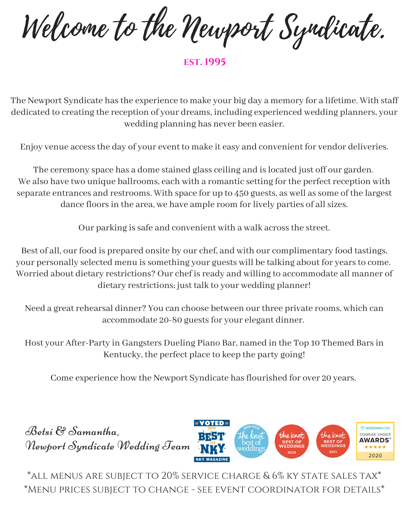Welcome to the Newport Syndicate.

**est. 1995**

The Newport Syndicate has the experience to make your big day a memory for a lifetime. With staff dedicated to creating the reception of your dreams, including experienced wedding planners, your wedding planning has never been easier.

Enjoy venue accessthe day of your event to make it easy and convenient for vendor deliveries.

The ceremony space has a dome stained glass ceiling and is located just off our garden. We also have two unique ballrooms, each with a romantic setting for the perfect reception with separate entrances and restrooms. With space for up to 450 guests, as well as some of the largest dance floors in the area, we have ample room for lively parties of all sizes.

Our parking is safe and convenient with a walk across the street.

Best of all, our food is prepared onsite by our chef, and with our complimentary food tastings, your personally selected menu is something your guests will be talking about for years to come. Worried about dietary restrictions? Our chef is ready and willing to accommodate all manner of dietary restrictions; just talk to your wedding planner!

Need a great rehearsal dinner? You can choose between our three private rooms, which can accommodate 20-80 guests for your elegant dinner.

Host your After-Party in Gangsters Dueling Piano Bar, named in the Top 10 Themed Barsin Kentucky, the perfect place to keep the party going!

Come experience how the Newport Syndicate has flourished for over 20 years.



\*all menus are subject to 20% service charge & 6% ky state sales tax\* \*Menu prices subject to change - see event coordinator for details\*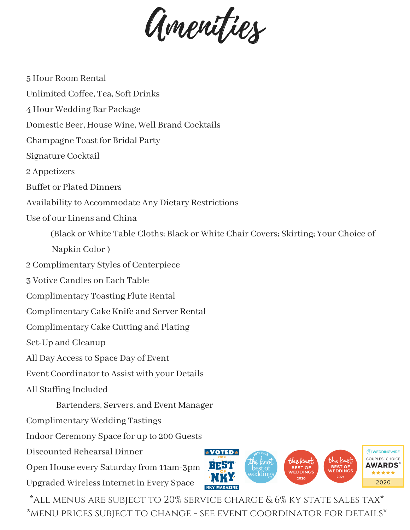Amenities

5 Hour Room Rental Unlimited Coffee, Tea, Soft Drinks 4 Hour Wedding Bar Package Domestic Beer, House Wine, Well Brand Cocktails Champagne Toast for Bridal Party Signature Cocktail 2 Appetizers Buffet or Plated Dinners Availability to Accommodate Any Dietary Restrictions Use of our Linens and China (Black or White Table Cloths; Black or White Chair Covers; Skirting; Your Choice of Napkin Color) 2 Complimentary Styles of Centerpiece 3 Votive Candles on Each Table Complimentary Toasting Flute Rental Complimentary Cake Knife and Server Rental Complimentary Cake Cutting and Plating Set-Up and Cleanup All Day Accessto Space Day of Event Event Coordinator to Assist with your Details All Staffing Included Bartenders, Servers, and Event Manager Complimentary Wedding Tastings Indoor Ceremony Space for up to 200 Guests Discounted Rehearsal Dinner **V** WEDDINGWIRE **\*VOTED\*** COUPLES' CHOICE the knot **AWARDS** Open House every Saturday from 11am-3pm . . . . . Upgraded WirelessInternet in Every Space 2020

\*all menus are subject to 20% service charge & 6% ky state sales tax\* \*menu prices subject to change - see event coordinator for details\*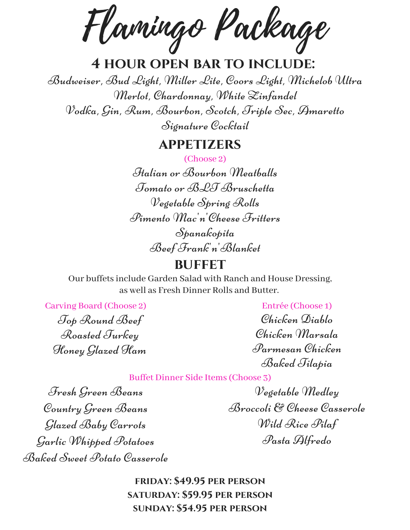Flamingo Package

# **4 hour open bar to include:**

Budweiser, Bud Light, Miller Lite, Coors Light, Michelob Ultra Merlot, Chardonnay, White Zinfandel Vodka, Gin, Rum, Bourbon, Scotch, Triple Sec, Amaretto Signature Cocktail

# **appetizers**

(Choose 2)

Italian or Bourbon Meatballs Tomato or BLT Bruschetta Vegetable Spring Rolls Pimento Mac'n'Cheese Fritters Spanakopita Beef Frank'n'Blanket

# **BUFFET**

Our buffetsinclude Garden Salad with Ranch and House Dressing, as well as Fresh Dinner Rolls and Butter.

Carving Board (Choose 2)

Top Round Beef Roasted Turkey Honey Glazed Ham

Entrée (Choose 1) Chicken Diablo Chicken Marsala Parmesan Chicken Baked Tilapia

Buffet Dinner Side Items(Choose 3)

Fresh Green Beans Country Green Beans Glazed Baby Carrots Garlic Whipped Potatoes Baked Sweet Potato Casserole

Vegetable Medley Broccoli & Cheese Casserole Wild Rice Pilaf Pasta Alfredo

**friday: \$49.95 per person saturday: \$59.95 per person sunday: \$54.95 per person**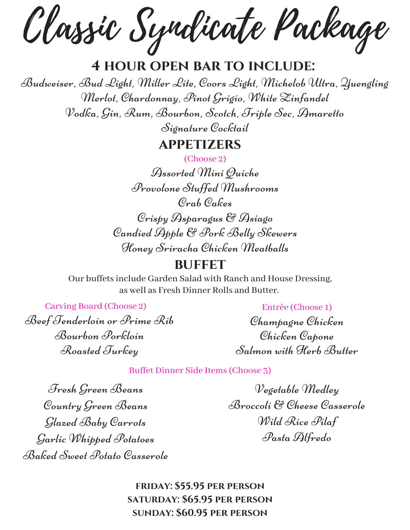Classic Syndicate Package

# **4 hour open bar to include:**

Budweiser, Bud Light, Miller Lite, Coors Light, Michelob Ultra, Yuengling Merlot, Chardonnay, Pinot Grigio, White Zinfandel Vodka, Gin, Rum, Bourbon, Scotch, Triple Sec, Amaretto

Signature Cocktail

# **appetizers**

(Choose 2)

Assorted Mini Quiche Provolone Stuffed Mushrooms Crab Cakes Crispy Asparagus & Asiago Candied Apple & Pork Belly Skewers Honey Sriracha Chicken Meatballs

# **BUFFET**

Our buffetsinclude Garden Salad with Ranch and House Dressing, as well as Fresh Dinner Rolls and Butter.

Carving Board (Choose 2)

Beef Tenderloin or Prime Rib Bourbon Porkloin Roasted Turkey

Entrée (Choose 1)

Champagne Chicken Chicken Capone Salmon with Herb Butter

Buffet Dinner Side Items(Choose 3)

Fresh Green Beans Country Green Beans Glazed Baby Carrots Garlic Whipped Potatoes Baked Sweet Potato Casserole

Vegetable Medley Broccoli & Cheese Casserole Wild Rice Pilaf Pasta Alfredo

**friday: \$55.95 per person saturday: \$65.95 per person sunday: \$60.95 per person**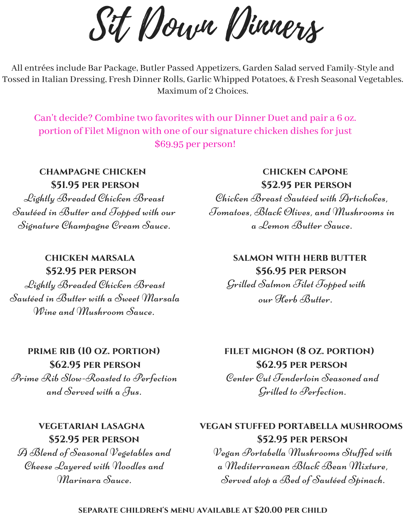Sit Down Dinners

All entréesinclude Bar Package, Butler Passed Appetizers, Garden Salad served Family-Style and Tossed in Italian Dressing, Fresh Dinner Rolls, Garlic Whipped Potatoes, & Fresh Seasonal Vegetables. Maximum of 2 Choices.

Can't decide? Combine two favorites with our Dinner Duet and pair a 6 oz. portion of Filet Mignon with one of our signature chicken dishes for just \$69.95 per person!

**champagne chicken \$51.95 per person**

Lightly Breaded Chicken Breast Sautéed in Butter and Topped with our Signature Champagne Cream Sauce.

#### **chicken marsala \$52.95 per person**

Lightly Breaded Chicken Breast Sautéed in Butter with a Sweet Marsala Wine and *Mushroom* Sauce.

### **chicken capone \$52.95 per person**

Chicken Breast Sautéed with Artichokes, Tomatoes, Black Olives, and Mushrooms in a Lemon Butter Sauce.

# **salmon with herb butter \$56.95 per person** Grilled Salmon Filet Topped with our Herb Butter.

# **prime rib (10 oz. portion)**

**\$62.95 per person** Prime Rib Slow-Roasted to Perfection and Served with a Jus.

# **vegetarian lasagna \$52.95 per person**

A Blend of Seasonal Vegetables and Cheese Layered with Noodles and Marinara Sauce.

# **filet mignon (8 oz. portion) \$62.95 per person** Center Cut Tenderloin Seasoned and

Grilled to Perfection.

# **vegan stuffed portabella mushrooms \$52.95 per person**

Vegan Portabella Mushrooms Stuffed with a Mediterranean Black Bean Mixture, Served atop a Bed of Sautéed Spinach.

#### **separate children's menu available at \$20.00 per child**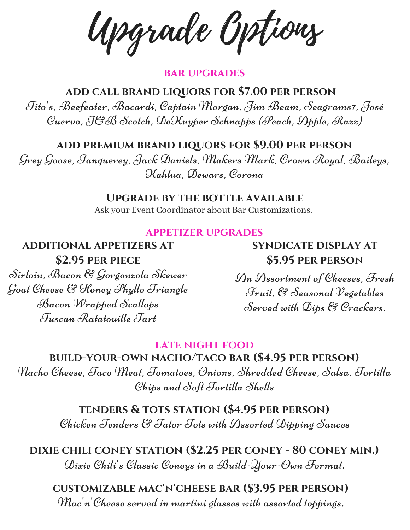Upgrade Options

#### **bar upgrades**

**add call brand liquors for \$7.00 per person** Tito's, Beefeater, Bacardi, Captain Morgan, Jim Beam, Seagrams7, José Cuervo, J&B Scotch, DeKuyper Schnapps (Peach, Apple, Razz)

**add premium brand liquors for \$9.00 per person**

Grey Goose, Tanquerey, Jack Daniels, Makers Mark, Crown Royal, Baileys, Kahlua, Dewars, Corona

#### **Upgrade by the bottle available**

Ask your Event Coordinator about Bar Customizations.

#### **appetizer upgrades**

**additional appetizers at \$2.95 per piece**

Sirloin, Bacon & Gorgonzola Skewer Goat Cheese & Honey Phyllo Triangle Bacon Wrapped Scallops Tuscan Ratatouille Tart

**syndicate display at \$5.95 per person**

An Assortment of Cheeses, Fresh Fruit, & Seasonal Vegetables Served with Dips & Crackers.

#### **late night food**

**build-your-own nacho/taco bar (\$4.95 per person)**

Nacho Cheese, Taco Meat, Tomatoes, Onions, Shredded Cheese, Salsa, Tortilla Chips and Soft Tortilla Shells

> **tenders & tots station (\$4.95 per person)** Chicken Tenders & Tator Tots with Assorted Dipping Sauces

**dixie chili coney station (\$2.25 per coney - 80 coney min.)** Dixie Chili's Classic Coneys in a Build-Your-Own Format.

**customizable mac'n'cheese bar (\$3.95 per person)**

Mac'n'Cheese served in martini glasses with assorted toppings.